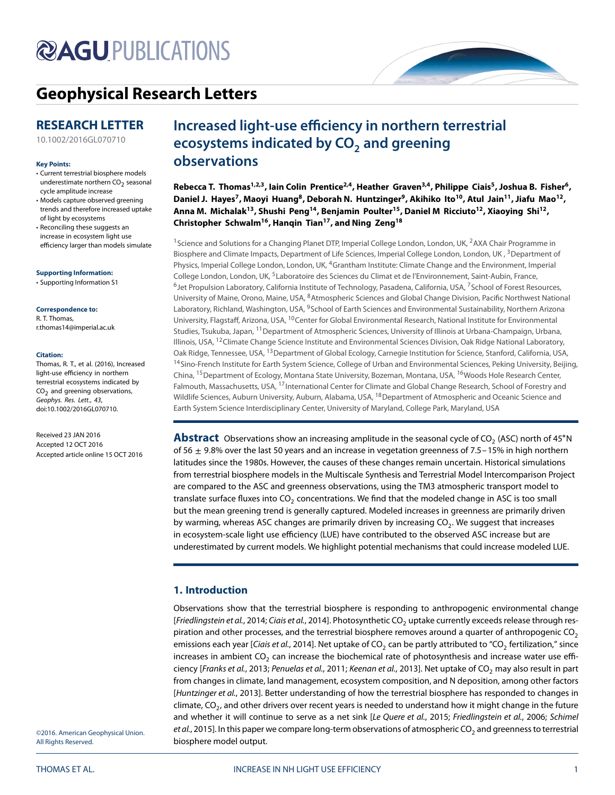# **@AGUPUBLICATIONS**

# **[Geophysical Research Letters](http://onlinelibrary.wiley.com/journal/10.1002/(ISSN)1944-8007)**

## **RESEARCH LETTER**

[10.1002/2016GL070710](http://dx.doi.org/10.1002/2016GL070710)

### **Key Points:**

- Current terrestrial biosphere models underestimate northern  $CO<sub>2</sub>$  seasonal cycle amplitude increase
- Models capture observed greening trends and therefore increased uptake of light by ecosystems
- Reconciling these suggests an increase in ecosystem light use efficiency larger than models simulate

**Supporting Information:**

[• Supporting Information S](http://dx.doi.org/10.1002/2016GL070710)1

### **Correspondence to:**

R. T. Thomas, r.thomas14@imperial.ac.uk

### **Citation:**

Thomas, R. T., et al. (2016), Increased light-use efficiency in northern terrestrial ecosystems indicated by  $CO<sub>2</sub>$  and greening observations, Geophys. Res. Lett., 43, doi:10.1002/2016GL070710.

Received 23 JAN 2016 Accepted 12 OCT 2016 Accepted article online 15 OCT 2016

# **Increased light-use efficiency in northern terrestrial ecosystems indicated by CO<sub>2</sub> and greening observations**

Rebecca T. Thomas<sup>1,2,3</sup>, Iain Colin Prentice<sup>2,4</sup>, Heather Graven<sup>3,4</sup>, Philippe Ciais<sup>5</sup>, Joshua B. Fisher<sup>6</sup>, Daniel J. Hayes<sup>7</sup>, Maoyi Huang<sup>8</sup>, Deborah N. Huntzinger<sup>9</sup>, Akihiko Ito<sup>10</sup>, Atul Jain<sup>11</sup>, Jiafu Mao<sup>12</sup>, **Anna M. Michalak13, Shushi Peng14, Benjamin Poulter15, Daniel M Ricciuto12, Xiaoying Shi12, Christopher Schwalm16, Hanqin Tian17, and Ning Zeng18**

<sup>1</sup> Science and Solutions for a Changing Planet DTP, Imperial College London, London, UK, <sup>2</sup>AXA Chair Programme in Biosphere and Climate Impacts, Department of Life Sciences, Imperial College London, London, UK, <sup>3</sup>Department of Physics, Imperial College London, London, UK, 4Grantham Institute: Climate Change and the Environment, Imperial College London, London, UK, 5Laboratoire des Sciences du Climat et de l'Environnement, Saint-Aubin, France, <sup>6</sup>Jet Propulsion Laboratory, California Institute of Technology, Pasadena, California, USA, <sup>7</sup>School of Forest Resources, University of Maine, Orono, Maine, USA, 8Atmospheric Sciences and Global Change Division, Pacific Northwest National Laboratory, Richland, Washington, USA, <sup>9</sup>School of Earth Sciences and Environmental Sustainability, Northern Arizona University, Flagstaff, Arizona, USA, <sup>10</sup>Center for Global Environmental Research, National Institute for Environmental Studies, Tsukuba, Japan, 11Department of Atmospheric Sciences, University of Illinois at Urbana-Champaign, Urbana, Illinois, USA, <sup>12</sup>Climate Change Science Institute and Environmental Sciences Division, Oak Ridge National Laboratory, Oak Ridge, Tennessee, USA, <sup>13</sup> Department of Global Ecology, Carnegie Institution for Science, Stanford, California, USA, <sup>14</sup>Sino-French Institute for Earth System Science, College of Urban and Environmental Sciences, Peking University, Beijing, China, 15Department of Ecology, Montana State University, Bozeman, Montana, USA, 16Woods Hole Research Center, Falmouth, Massachusetts, USA, <sup>17</sup>International Center for Climate and Global Change Research, School of Forestry and Wildlife Sciences, Auburn University, Auburn, Alabama, USA, <sup>18</sup>Department of Atmospheric and Oceanic Science and Earth System Science Interdisciplinary Center, University of Maryland, College Park, Maryland, USA

**Abstract** Observations show an increasing amplitude in the seasonal cycle of CO<sub>2</sub> (ASC) north of 45°N of 56 ± 9*.*8% over the last 50 years and an increase in vegetation greenness of 7.5–15% in high northern latitudes since the 1980s. However, the causes of these changes remain uncertain. Historical simulations from terrestrial biosphere models in the Multiscale Synthesis and Terrestrial Model Intercomparison Project are compared to the ASC and greenness observations, using the TM3 atmospheric transport model to translate surface fluxes into CO<sub>2</sub> concentrations. We find that the modeled change in ASC is too small but the mean greening trend is generally captured. Modeled increases in greenness are primarily driven by warming, whereas ASC changes are primarily driven by increasing CO<sub>2</sub>. We suggest that increases in ecosystem-scale light use efficiency (LUE) have contributed to the observed ASC increase but are underestimated by current models. We highlight potential mechanisms that could increase modeled LUE.

### **1. Introduction**

Observations show that the terrestrial biosphere is responding to anthropogenic environmental change [Friedlingstein et al., [2014;](#page-8-0) Ciais et al., [2014\]](#page-8-1). Photosynthetic CO<sub>2</sub> uptake currently exceeds release through respiration and other processes, and the terrestrial biosphere removes around a quarter of anthropogenic  $CO<sub>2</sub>$ emissions each year [Ciais et al., [2014\]](#page-8-1). Net uptake of CO<sub>2</sub> can be partly attributed to "CO<sub>2</sub> fertilization," since increases in ambient  $CO<sub>2</sub>$  can increase the biochemical rate of photosynthesis and increase water use effi-ciency [Franks et al., [2013;](#page-8-2) Penuelas et al., [2011;](#page-9-0) Keenan et al., [2013\]](#page-9-1). Net uptake of CO<sub>2</sub> may also result in part from changes in climate, land management, ecosystem composition, and N deposition, among other factors [Huntzinger et al., [2013\]](#page-8-3). Better understanding of how the terrestrial biosphere has responded to changes in climate,  $CO<sub>2</sub>$ , and other drivers over recent years is needed to understand how it might change in the future and whether it will continue to serve as a net sink [Le Quere et al., [2015;](#page-9-2) Friedlingstein et al., [2006;](#page-8-4) Schimel et al., [2015\]](#page-9-3). In this paper we compare long-term observations of atmospheric CO<sub>2</sub> and greenness to terrestrial biosphere model output.

©2016. American Geophysical Union. All Rights Reserved.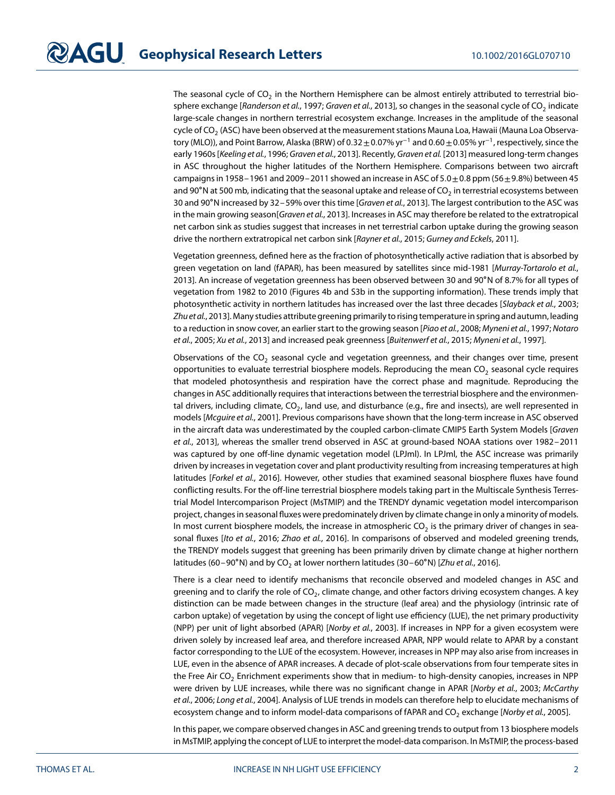The seasonal cycle of  $CO<sub>2</sub>$  in the Northern Hemisphere can be almost entirely attributed to terrestrial bio-sphere exchange [Randerson et al., [1997;](#page-9-4) Graven et al., [2013\]](#page-8-5), so changes in the seasonal cycle of  $CO<sub>2</sub>$  indicate large-scale changes in northern terrestrial ecosystem exchange. Increases in the amplitude of the seasonal cycle of CO<sub>2</sub> (ASC) have been observed at the measurement stations Mauna Loa, Hawaii (Mauna Loa Observatory (MLO)), and Point Barrow, Alaska (BRW) of <sup>0</sup>*.*32±0*.*07% yr<sup>−</sup><sup>1</sup> and <sup>0</sup>*.*60±0*.*05% yr<sup>−</sup>1, respectively, since the early 1960s [Keeling et al., [1996;](#page-9-5) Graven et al., [2013\]](#page-8-5). Recently, Graven et al. [\[2013\]](#page-8-5) measured long-term changes in ASC throughout the higher latitudes of the Northern Hemisphere. Comparisons between two aircraft campaigns in 1958–1961 and 2009–2011 showed an increase in ASC of 5*.*0±0*.*8 ppm (56±9*.*8%) between 45 and 90°N at 500 mb, indicating that the seasonal uptake and release of  $CO<sub>2</sub>$  in terrestrial ecosystems between 30 and 90°N increased by 32 – 59% over this time [Graven et al., [2013\]](#page-8-5). The largest contribution to the ASC was in the main growing season[Graven et al., [2013\]](#page-8-5). Increases in ASC may therefore be related to the extratropical net carbon sink as studies suggest that increases in net terrestrial carbon uptake during the growing season drive the northern extratropical net carbon sink [Rayner et al., [2015;](#page-9-6) Gurney and Eckels, [2011\]](#page-8-6).

Vegetation greenness, defined here as the fraction of photosynthetically active radiation that is absorbed by green vegetation on land (fAPAR), has been measured by satellites since mid-1981 [Murray-Tortarolo et al., [2013\]](#page-9-7). An increase of vegetation greenness has been observed between 30 and 90∘N of 8.7% for all types of vegetation from 1982 to 2010 (Figures [4b](#page-6-0) and S3b in the supporting information). These trends imply that photosynthetic activity in northern latitudes has increased over the last three decades [Slayback et al., [2003;](#page-9-8) Zhu et al., [2013\]](#page-10-0). Many studies attribute greening primarily to rising temperature in spring and autumn, leading to a reduction in snow cover, an earlier start to the growing season [Piao et al., [2008;](#page-9-9) Myneni et al., [1997;](#page-9-10) Notaro et al., [2005;](#page-9-11) Xu et al., [2013\]](#page-9-12) and increased peak greenness [Buitenwerf et al., [2015;](#page-8-7) Myneni et al., [1997\]](#page-9-10).

Observations of the  $CO<sub>2</sub>$  seasonal cycle and vegetation greenness, and their changes over time, present opportunities to evaluate terrestrial biosphere models. Reproducing the mean  $CO<sub>2</sub>$  seasonal cycle requires that modeled photosynthesis and respiration have the correct phase and magnitude. Reproducing the changes in ASC additionally requires that interactions between the terrestrial biosphere and the environmental drivers, including climate,  $CO<sub>2</sub>$ , land use, and disturbance (e.g., fire and insects), are well represented in models [Mcguire et al., [2001\]](#page-9-13). Previous comparisons have shown that the long-term increase in ASC observed in the aircraft data was underestimated by the coupled carbon-climate CMIP5 Earth System Models [Graven et al., [2013\]](#page-8-5), whereas the smaller trend observed in ASC at ground-based NOAA stations over 1982–2011 was captured by one off-line dynamic vegetation model (LPJml). In LPJml, the ASC increase was primarily driven by increases in vegetation cover and plant productivity resulting from increasing temperatures at high latitudes [Forkel et al., [2016\]](#page-8-8). However, other studies that examined seasonal biosphere fluxes have found conflicting results. For the off-line terrestrial biosphere models taking part in the Multiscale Synthesis Terrestrial Model Intercomparison Project (MsTMIP) and the TRENDY dynamic vegetation model intercomparison project, changes in seasonal fluxes were predominately driven by climate change in only a minority of models. In most current biosphere models, the increase in atmospheric  $CO<sub>2</sub>$  is the primary driver of changes in sea-sonal fluxes [Ito et al., [2016;](#page-9-14) Zhao et al., [2016\]](#page-10-1). In comparisons of observed and modeled greening trends, the TRENDY models suggest that greening has been primarily driven by climate change at higher northern latitudes (60–90°N) and by CO<sub>2</sub> at lower northern latitudes (30–60°N) [Zhu et al., [2016\]](#page-10-2).

There is a clear need to identify mechanisms that reconcile observed and modeled changes in ASC and greening and to clarify the role of  $CO<sub>2</sub>$ , climate change, and other factors driving ecosystem changes. A key distinction can be made between changes in the structure (leaf area) and the physiology (intrinsic rate of carbon uptake) of vegetation by using the concept of light use efficiency (LUE), the net primary productivity (NPP) per unit of light absorbed (APAR) [Norby et al., [2003\]](#page-9-15). If increases in NPP for a given ecosystem were driven solely by increased leaf area, and therefore increased APAR, NPP would relate to APAR by a constant factor corresponding to the LUE of the ecosystem. However, increases in NPP may also arise from increases in LUE, even in the absence of APAR increases. A decade of plot-scale observations from four temperate sites in the Free Air CO<sub>2</sub> Enrichment experiments show that in medium- to high-density canopies, increases in NPP were driven by LUE increases, while there was no significant change in APAR [Norby et al., [2003;](#page-9-15) McCarthy et al., [2006;](#page-9-16) Long et al., [2004\]](#page-9-17). Analysis of LUE trends in models can therefore help to elucidate mechanisms of ecosystem change and to inform model-data comparisons of fAPAR and CO<sub>2</sub> exchange [Norby et al., [2005\]](#page-9-18).

In this paper, we compare observed changes in ASC and greening trends to output from 13 biosphere models in MsTMIP, applying the concept of LUE to interpret the model-data comparison. In MsTMIP, the process-based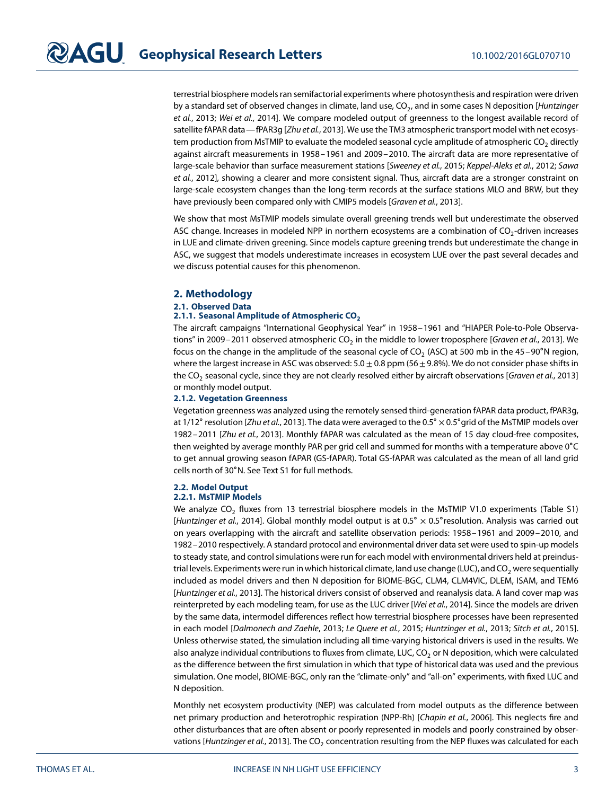terrestrial biosphere models ran semifactorial experiments where photosynthesis and respiration were driven by a standard set of observed changes in climate, land use,  $CO<sub>2</sub>$ , and in some cases N deposition [Huntzinger et al., [2013;](#page-8-3) Wei et al., [2014\]](#page-9-19). We compare modeled output of greenness to the longest available record of satellite fAPAR data—fPAR3g [Zhu et al., [2013\]](#page-10-0). We use the TM3 atmospheric transport model with net ecosystem production from MsTMIP to evaluate the modeled seasonal cycle amplitude of atmospheric CO<sub>2</sub> directly against aircraft measurements in 1958–1961 and 2009–2010. The aircraft data are more representative of large-scale behavior than surface measurement stations [Sweeney et al., [2015;](#page-9-20) Keppel-Aleks et al., [2012;](#page-9-21) Sawa et al., [2012\]](#page-9-22), showing a clearer and more consistent signal. Thus, aircraft data are a stronger constraint on large-scale ecosystem changes than the long-term records at the surface stations MLO and BRW, but they have previously been compared only with CMIP5 models [Graven et al., [2013\]](#page-8-5).

We show that most MsTMIP models simulate overall greening trends well but underestimate the observed ASC change. Increases in modeled NPP in northern ecosystems are a combination of  $CO<sub>2</sub>$ -driven increases in LUE and climate-driven greening. Since models capture greening trends but underestimate the change in ASC, we suggest that models underestimate increases in ecosystem LUE over the past several decades and we discuss potential causes for this phenomenon.

### **2. Methodology**

### **2.1. Observed Data**

### 2.1.1. Seasonal Amplitude of Atmospheric CO<sub>2</sub>

The aircraft campaigns "International Geophysical Year" in 1958–1961 and "HIAPER Pole-to-Pole Observa-tions" in 2009-2011 observed atmospheric CO<sub>2</sub> in the middle to lower troposphere [Graven et al., [2013\]](#page-8-5). We focus on the change in the amplitude of the seasonal cycle of CO<sub>2</sub> (ASC) at 500 mb in the 45–90°N region, where the largest increase in ASC was observed: 5.0 ± 0.8 ppm (56±9*.*8%). We do not consider phase shifts in the CO<sub>2</sub> seasonal cycle, since they are not clearly resolved either by aircraft observations [Graven et al., [2013\]](#page-8-5) or monthly model output.

### **2.1.2. Vegetation Greenness**

Vegetation greenness was analyzed using the remotely sensed third-generation fAPAR data product, fPAR3g, at 1/12° resolution [*Zhu et al.,* [2013\]](#page-10-0). The data were averaged to the 0.5° × 0.5° grid of the MsTMIP models over 1982–2011 [Zhu et al., [2013\]](#page-10-0). Monthly fAPAR was calculated as the mean of 15 day cloud-free composites, then weighted by average monthly PAR per grid cell and summed for months with a temperature above 0∘C to get annual growing season fAPAR (GS-fAPAR). Total GS-fAPAR was calculated as the mean of all land grid cells north of 30∘N. See Text S1 for full methods.

### **2.2. Model Output**

### **2.2.1. MsTMIP Models**

We analyze  $CO<sub>2</sub>$  fluxes from 13 terrestrial biosphere models in the MsTMIP V1.0 experiments (Table S1) [Huntzinger et al., [2014\]](#page-8-9). Global monthly model output is at 0.5° × 0.5° resolution. Analysis was carried out on years overlapping with the aircraft and satellite observation periods: 1958–1961 and 2009–2010, and 1982–2010 respectively. A standard protocol and environmental driver data set were used to spin-up models to steady state, and control simulations were run for each model with environmental drivers held at preindustrial levels. Experiments were run in which historical climate, land use change (LUC), and  $CO<sub>2</sub>$  were sequentially included as model drivers and then N deposition for BIOME-BGC, CLM4, CLM4VIC, DLEM, ISAM, and TEM6 [Huntzinger et al., [2013\]](#page-8-3). The historical drivers consist of observed and reanalysis data. A land cover map was reinterpreted by each modeling team, for use as the LUC driver [Wei et al., [2014\]](#page-9-19). Since the models are driven by the same data, intermodel differences reflect how terrestrial biosphere processes have been represented in each model [Dalmonech and Zaehle, [2013;](#page-8-10) Le Quere et al., [2015;](#page-9-2) Huntzinger et al., [2013;](#page-8-3) Sitch et al., [2015\]](#page-9-23). Unless otherwise stated, the simulation including all time-varying historical drivers is used in the results. We also analyze individual contributions to fluxes from climate, LUC,  $CO<sub>2</sub>$  or N deposition, which were calculated as the difference between the first simulation in which that type of historical data was used and the previous simulation. One model, BIOME-BGC, only ran the "climate-only" and "all-on" experiments, with fixed LUC and N deposition.

Monthly net ecosystem productivity (NEP) was calculated from model outputs as the difference between net primary production and heterotrophic respiration (NPP-Rh) [Chapin et al., [2006\]](#page-8-11). This neglects fire and other disturbances that are often absent or poorly represented in models and poorly constrained by obser-vations [Huntzinger et al., [2013\]](#page-8-3). The CO<sub>2</sub> concentration resulting from the NEP fluxes was calculated for each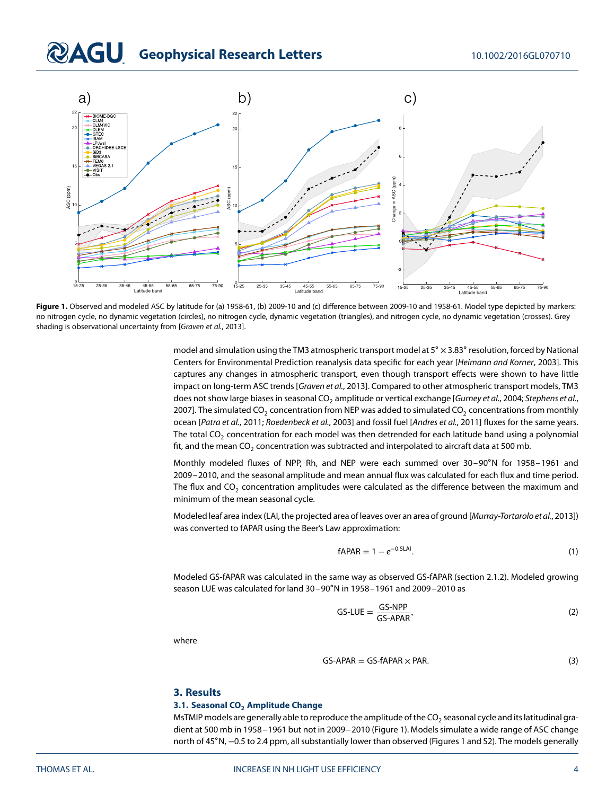# **@AGU** Geophysical Research Letters 10.1002/2016GL070710



<span id="page-3-0"></span>Figure 1. Observed and modeled ASC by latitude for (a) 1958-61, (b) 2009-10 and (c) difference between 2009-10 and 1958-61. Model type depicted by markers: no nitrogen cycle, no dynamic vegetation (circles), no nitrogen cycle, dynamic vegetation (triangles), and nitrogen cycle, no dynamic vegetation (crosses). Grey shading is observational uncertainty from [Graven et al., [2013\]](#page-8-5).

model and simulation using the TM3 atmospheric transport model at 5° × 3.83° resolution, forced by National Centers for Environmental Prediction reanalysis data specific for each year [Heimann and Korner, [2003\]](#page-8-12). This captures any changes in atmospheric transport, even though transport effects were shown to have little impact on long-term ASC trends [Graven et al., [2013\]](#page-8-5). Compared to other atmospheric transport models, TM3 does not show large biases in seasonal CO<sub>2</sub> amplitude or vertical exchange [Gurney et al., [2004;](#page-8-13) Stephens et al., [2007\]](#page-9-24). The simulated CO<sub>2</sub> concentration from NEP was added to simulated CO<sub>2</sub> concentrations from monthly ocean [Patra et al., [2011;](#page-9-25) Roedenbeck et al., [2003\]](#page-9-26) and fossil fuel [Andres et al., [2011\]](#page-8-14) fluxes for the same years. The total CO<sub>2</sub> concentration for each model was then detrended for each latitude band using a polynomial fit, and the mean  $CO_2$  concentration was subtracted and interpolated to aircraft data at 500 mb.

Monthly modeled fluxes of NPP, Rh, and NEP were each summed over 30–90∘N for 1958–1961 and 2009–2010, and the seasonal amplitude and mean annual flux was calculated for each flux and time period. The flux and  $CO<sub>2</sub>$  concentration amplitudes were calculated as the difference between the maximum and minimum of the mean seasonal cycle.

Modeled leaf area index (LAI, the projected area of leaves over an area of ground [Murray-Tortarolo et al., [2013\]](#page-9-7)) was converted to fAPAR using the Beer's Law approximation:

$$
fAPAR = 1 - e^{-0.5LAI}.
$$
 (1)

Modeled GS-fAPAR was calculated in the same way as observed GS-fAPAR (section 2.1.2). Modeled growing season LUE was calculated for land 30–90∘N in 1958–1961 and 2009–2010 as

<span id="page-3-1"></span>
$$
GS-LUE = \frac{GS-NPP}{GS-APAR},\tag{2}
$$

where

$$
GS-APAR = GS-fAPAR \times PAR. \tag{3}
$$

### **3. Results**

### **3.1. Seasonal CO<sub>2</sub> Amplitude Change**

MsTMIP models are generally able to reproduce the amplitude of the  $CO<sub>2</sub>$  seasonal cycle and its latitudinal gradient at 500 mb in 1958–1961 but not in 2009–2010 (Figure [1\)](#page-3-0). Models simulate a wide range of ASC change north of 45∘N, −0.5 to 2.4 ppm, all substantially lower than observed (Figures [1](#page-3-0) and S2). The models generally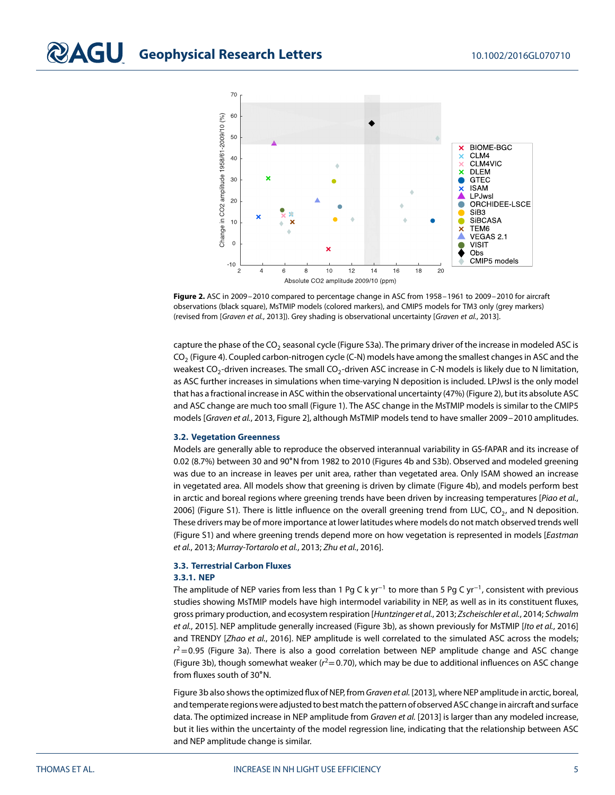

<span id="page-4-0"></span>**Figure 2.** ASC in 2009–2010 compared to percentage change in ASC from 1958–1961 to 2009–2010 for aircraft observations (black square), MsTMIP models (colored markers), and CMIP5 models for TM3 only (grey markers) (revised from [Graven et al., [2013\]](#page-8-5)). Grey shading is observational uncertainty [Graven et al., [2013\]](#page-8-5).

capture the phase of the  $CO<sub>2</sub>$  seasonal cycle (Figure S3a). The primary driver of the increase in modeled ASC is  $CO<sub>2</sub>$  (Figure [4\)](#page-6-0). Coupled carbon-nitrogen cycle (C-N) models have among the smallest changes in ASC and the weakest CO<sub>2</sub>-driven increases. The small CO<sub>2</sub>-driven ASC increase in C-N models is likely due to N limitation, as ASC further increases in simulations when time-varying N deposition is included. LPJwsl is the only model that has a fractional increase in ASC within the observational uncertainty (47%) (Figure [2\)](#page-4-0), but its absolute ASC and ASC change are much too small (Figure [1\)](#page-3-0). The ASC change in the MsTMIP models is similar to the CMIP5 models [Graven et al., [2013,](#page-8-5) Figure 2], although MsTMIP models tend to have smaller 2009–2010 amplitudes.

### **3.2. Vegetation Greenness**

Models are generally able to reproduce the observed interannual variability in GS-fAPAR and its increase of 0.02 (8.7%) between 30 and 90∘N from 1982 to 2010 (Figures [4b](#page-6-0) and S3b). Observed and modeled greening was due to an increase in leaves per unit area, rather than vegetated area. Only ISAM showed an increase in vegetated area. All models show that greening is driven by climate (Figure [4b](#page-6-0)), and models perform best in arctic and boreal regions where greening trends have been driven by increasing temperatures [Piao et al., [2006\]](#page-9-27) (Figure S1). There is little influence on the overall greening trend from LUC, CO<sub>2</sub>, and N deposition. These drivers may be of more importance at lower latitudes where models do not match observed trends well (Figure S1) and where greening trends depend more on how vegetation is represented in models [Eastman et al., [2013;](#page-8-15) Murray-Tortarolo et al., [2013;](#page-9-7) Zhu et al., [2016\]](#page-10-2).

# **3.3. Terrestrial Carbon Fluxes**

### **3.3.1. NEP**

The amplitude of NEP varies from less than 1 Pg C k yr<sup>−1</sup> to more than 5 Pg C yr<sup>−1</sup>, consistent with previous studies showing MsTMIP models have high intermodel variability in NEP, as well as in its constituent fluxes, gross primary production, and ecosystem respiration [Huntzinger et al., [2013;](#page-8-3) Zscheischler et al., [2014;](#page-10-3) Schwalm et al., [2015\]](#page-9-28). NEP amplitude generally increased (Figure [3b](#page-5-0)), as shown previously for MsTMIP [Ito et al., [2016\]](#page-9-14) and TRENDY [Zhao et al., [2016\]](#page-10-1). NEP amplitude is well correlated to the simulated ASC across the models; r <sup>2</sup>=0*.*<sup>95</sup> (Figure [3a](#page-5-0)). There is also a good correlation between NEP amplitude change and ASC change (Figure [3b](#page-5-0)), though somewhat weaker (r <sup>2</sup>=0*.*70), which may be due to additional influences on ASC change from fluxes south of 30∘N.

Figure [3b](#page-5-0) also shows the optimized flux of NEP, from Graven et al. [\[2013\]](#page-8-5), where NEP amplitude in arctic, boreal, and temperate regions were adjusted to best match the pattern of observed ASC change in aircraft and surface data. The optimized increase in NEP amplitude from Graven et al. [\[2013\]](#page-8-5) is larger than any modeled increase, but it lies within the uncertainty of the model regression line, indicating that the relationship between ASC and NEP amplitude change is similar.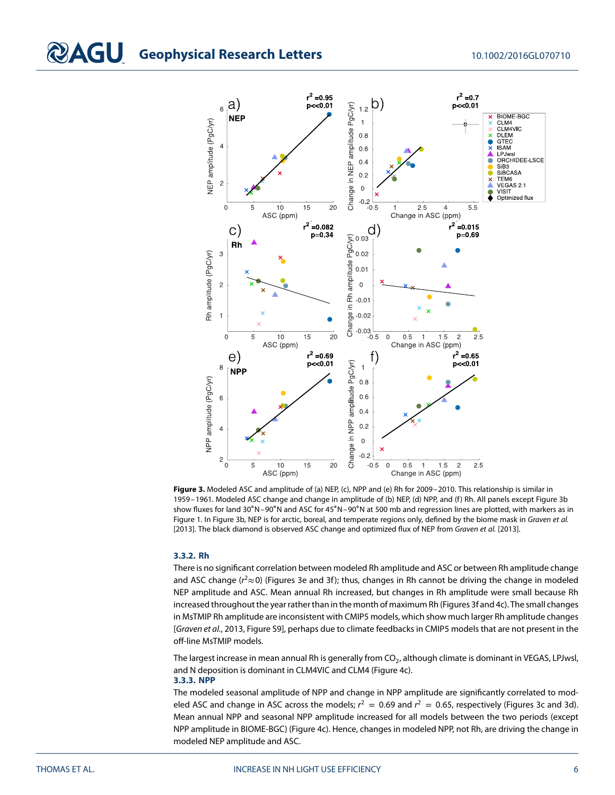

<span id="page-5-0"></span>**Figure 3.** Modeled ASC and amplitude of (a) NEP, (c), NPP and (e) Rh for 2009–2010. This relationship is similar in 1959–1961. Modeled ASC change and change in amplitude of (b) NEP, (d) NPP, and (f) Rh. All panels except Figure [3b](#page-5-0) show fluxes for land 30∘N–90∘N and ASC for 45∘N–90∘N at 500 mb and regression lines are plotted, with markers as in Figure [1.](#page-3-0) In Figure [3b](#page-5-0), NEP is for arctic, boreal, and temperate regions only, defined by the biome mask in Graven et al. [\[2013\]](#page-8-5). The black diamond is observed ASC change and optimized flux of NEP from Graven et al. [2013].

### **3.3.2. Rh**

There is no significant correlation between modeled Rh amplitude and ASC or between Rh amplitude change and ASC change ( $r^2 \approx 0$ ) (Figures [3e](#page-5-0) and [3f](#page-5-0)); thus, changes in Rh cannot be driving the change in modeled NEP amplitude and ASC. Mean annual Rh increased, but changes in Rh amplitude were small because Rh increased throughout the year rather than in the month of maximum Rh (Figures [3f](#page-5-0) and [4c](#page-6-0)). The small changes in MsTMIP Rh amplitude are inconsistent with CMIP5 models, which show much larger Rh amplitude changes [Graven et al., [2013,](#page-8-5) Figure S9], perhaps due to climate feedbacks in CMIP5 models that are not present in the off-line MsTMIP models.

The largest increase in mean annual Rh is generally from CO<sub>2</sub>, although climate is dominant in VEGAS, LPJwsl, and N deposition is dominant in CLM4VIC and CLM4 (Figure [4c](#page-6-0)).

### **3.3.3. NPP**

The modeled seasonal amplitude of NPP and change in NPP amplitude are significantly correlated to modeled ASC and change in ASC across the models;  $r^2 = 0.69$  and  $r^2 = 0.65$ , respectively (Figures [3c](#page-5-0) and [3d](#page-5-0)). Mean annual NPP and seasonal NPP amplitude increased for all models between the two periods (except NPP amplitude in BIOME-BGC) (Figure [4c](#page-6-0)). Hence, changes in modeled NPP, not Rh, are driving the change in modeled NEP amplitude and ASC.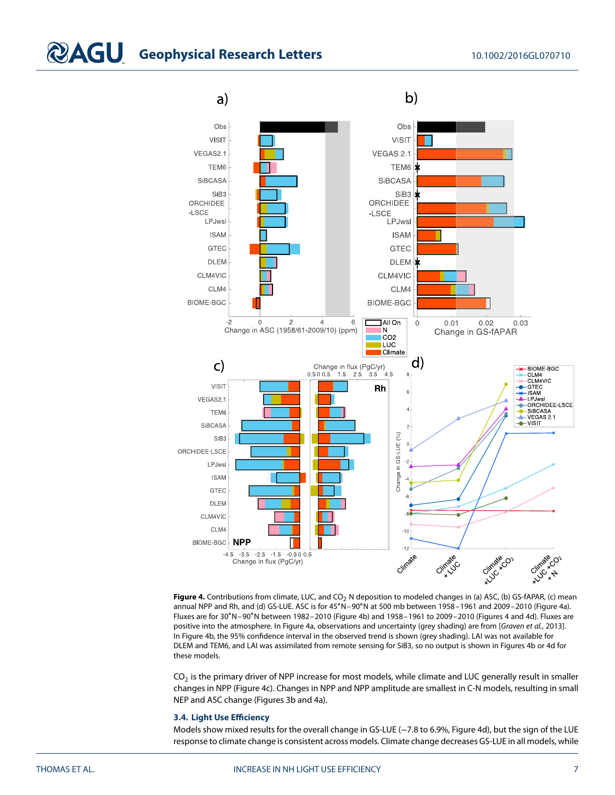

<span id="page-6-0"></span>Figure 4. Contributions from climate, LUC, and CO<sub>2</sub> N deposition to modeled changes in (a) ASC, (b) GS-fAPAR, (c) mean annual NPP and Rh, and (d) GS-LUE. ASC is for 45∘N–90∘N at 500 mb between 1958–1961 and 2009–2010 (Figure [4a](#page-6-0)). Fluxes are for 30∘N–90∘N between 1982–2010 (Figure [4b](#page-6-0)) and 1958–1961 to 2009–2010 (Figures [4](#page-6-0) and [4d](#page-6-0)). Fluxes are positive into the atmosphere. In Figure [4a](#page-6-0), observations and uncertainty (grey shading) are from [Graven et al., [2013\]](#page-8-5). In Figure [4b](#page-6-0), the 95% confidence interval in the observed trend is shown (grey shading). LAI was not available for DLEM and TEM6, and LAI was assimilated from remote sensing for SiB3, so no output is shown in Figures [4b](#page-6-0) or [4d](#page-6-0) for these models.

 $CO<sub>2</sub>$  is the primary driver of NPP increase for most models, while climate and LUC generally result in smaller changes in NPP (Figure [4c](#page-6-0)). Changes in NPP and NPP amplitude are smallest in C-N models, resulting in small NEP and ASC change (Figures [3b](#page-5-0) and [4a](#page-6-0)).

### **3.4. Light Use Efficiency**

Models show mixed results for the overall change in GS-LUE (−7.8 to 6.9%, Figure [4d](#page-6-0)), but the sign of the LUE response to climate change is consistent across models. Climate change decreases GS-LUE in all models, while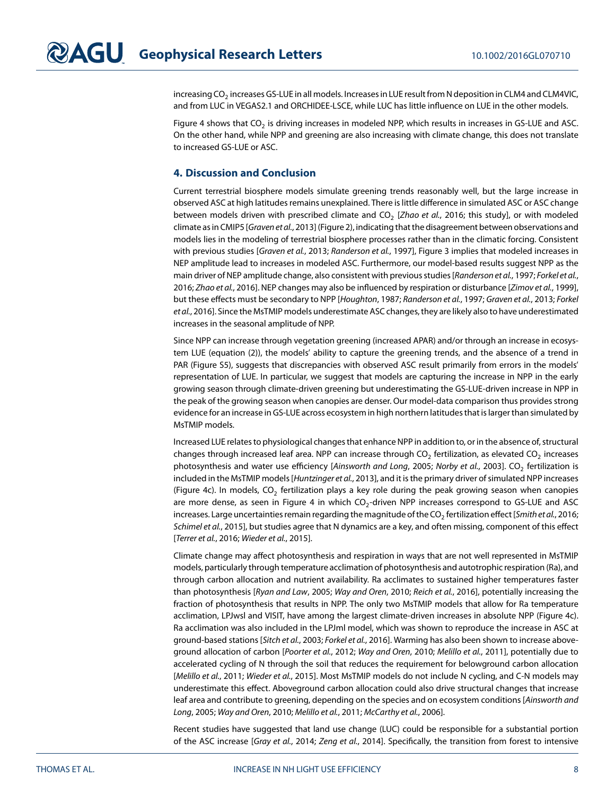increasing CO<sub>2</sub> increases GS-LUE in all models. Increases in LUE result from N deposition in CLM4 and CLM4VIC, and from LUC in VEGAS2.1 and ORCHIDEE-LSCE, while LUC has little influence on LUE in the other models.

Figure [4](#page-6-0) shows that  $CO<sub>2</sub>$  is driving increases in modeled NPP, which results in increases in GS-LUE and ASC. On the other hand, while NPP and greening are also increasing with climate change, this does not translate to increased GS-LUE or ASC.

### **4. Discussion and Conclusion**

Current terrestrial biosphere models simulate greening trends reasonably well, but the large increase in observed ASC at high latitudes remains unexplained. There is little difference in simulated ASC or ASC change between models driven with prescribed climate and CO<sub>2</sub> [Zhao et al., [2016;](#page-10-1) this study], or with modeled climate as in CMIP5 [Graven et al., [2013\]](#page-8-5) (Figure [2\)](#page-4-0), indicating that the disagreement between observations and models lies in the modeling of terrestrial biosphere processes rather than in the climatic forcing. Consistent with previous studies [Graven et al., [2013;](#page-8-5) Randerson et al., [1997\]](#page-9-4), Figure [3](#page-5-0) implies that modeled increases in NEP amplitude lead to increases in modeled ASC. Furthermore, our model-based results suggest NPP as the main driver of NEP amplitude change, also consistent with previous studies [Randerson et al., [1997;](#page-9-4) Forkel et al., [2016;](#page-8-8) Zhao et al., [2016\]](#page-10-1). NEP changes may also be influenced by respiration or disturbance [Zimov et al., [1999\]](#page-10-4), but these effects must be secondary to NPP [Houghton, [1987;](#page-8-16) Randerson et al., [1997;](#page-9-4) Graven et al., [2013;](#page-8-5) Forkel et al., [2016\]](#page-8-8). Since the MsTMIP models underestimate ASC changes, they are likely also to have underestimated increases in the seasonal amplitude of NPP.

Since NPP can increase through vegetation greening (increased APAR) and/or through an increase in ecosystem LUE (equation [\(2\)](#page-3-1)), the models' ability to capture the greening trends, and the absence of a trend in PAR (Figure S5), suggests that discrepancies with observed ASC result primarily from errors in the models' representation of LUE. In particular, we suggest that models are capturing the increase in NPP in the early growing season through climate-driven greening but underestimating the GS-LUE-driven increase in NPP in the peak of the growing season when canopies are denser. Our model-data comparison thus provides strong evidence for an increase in GS-LUE across ecosystem in high northern latitudes that is larger than simulated by MsTMIP models.

Increased LUE relates to physiological changes that enhance NPP in addition to, or in the absence of, structural changes through increased leaf area. NPP can increase through CO<sub>2</sub> fertilization, as elevated CO<sub>2</sub> increases photosynthesis and water use efficiency [Ainsworth and Long, [2005;](#page-8-17) Norby et al., [2003\]](#page-9-15). CO<sub>2</sub> fertilization is included in the MsTMIP models [Huntzinger et al., [2013\]](#page-8-3), and it is the primary driver of simulated NPP increases (Figure [4c](#page-6-0)). In models,  $CO<sub>2</sub>$  fertilization plays a key role during the peak growing season when canopies are more dense, as seen in Figure [4](#page-6-0) in which  $CO<sub>2</sub>$ -driven NPP increases correspond to GS-LUE and ASC increases. Large uncertainties remain regarding the magnitude of the CO<sub>2</sub> fertilization effect [Smith et al., [2016;](#page-9-29) Schimel et al., [2015\]](#page-9-3), but studies agree that N dynamics are a key, and often missing, component of this effect [Terrer et al., [2016;](#page-9-30) Wieder et al., [2015\]](#page-9-31).

Climate change may affect photosynthesis and respiration in ways that are not well represented in MsTMIP models, particularly through temperature acclimation of photosynthesis and autotrophic respiration (Ra), and through carbon allocation and nutrient availability. Ra acclimates to sustained higher temperatures faster than photosynthesis [Ryan and Law, [2005;](#page-9-32) Way and Oren, [2010;](#page-9-33) Reich et al., [2016\]](#page-9-34), potentially increasing the fraction of photosynthesis that results in NPP. The only two MsTMIP models that allow for Ra temperature acclimation, LPJwsl and VISIT, have among the largest climate-driven increases in absolute NPP (Figure [4c](#page-6-0)). Ra acclimation was also included in the LPJml model, which was shown to reproduce the increase in ASC at ground-based stations [Sitch et al., [2003;](#page-9-35) Forkel et al., [2016\]](#page-8-8). Warming has also been shown to increase above-ground allocation of carbon [Poorter et al., [2012;](#page-9-36) Way and Oren, [2010;](#page-9-33) Melillo et al., [2011\]](#page-9-37), potentially due to accelerated cycling of N through the soil that reduces the requirement for belowground carbon allocation [Melillo et al., [2011;](#page-9-37) Wieder et al., [2015\]](#page-9-31). Most MsTMIP models do not include N cycling, and C-N models may underestimate this effect. Aboveground carbon allocation could also drive structural changes that increase leaf area and contribute to greening, depending on the species and on ecosystem conditions [Ainsworth and Long, [2005;](#page-8-17) Way and Oren, [2010;](#page-9-33) Melillo et al., [2011;](#page-9-37) McCarthy et al., [2006\]](#page-9-16).

Recent studies have suggested that land use change (LUC) could be responsible for a substantial portion of the ASC increase [Gray et al., [2014;](#page-8-18) Zeng et al., [2014\]](#page-9-38). Specifically, the transition from forest to intensive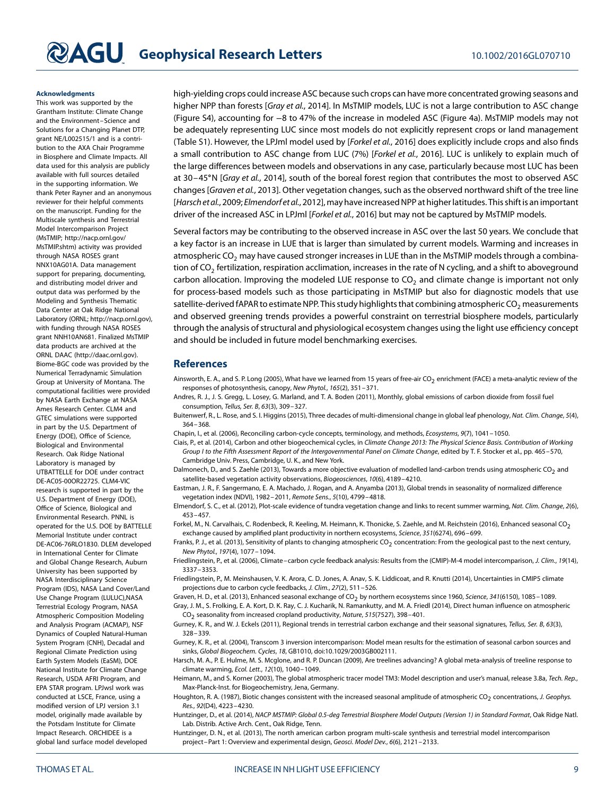### **Acknowledgments**

This work was supported by the Grantham Institute: Climate Change and the Environment–Science and Solutions for a Changing Planet DTP, grant NE/L002515/1 and is a contribution to the AXA Chair Programme in Biosphere and Climate Impacts. All data used for this analysis are publicly available with full sources detailed in the supporting information. We thank Peter Rayner and an anonymous reviewer for their helpful comments on the manuscript. Funding for the Multiscale synthesis and Terrestrial Model Intercomparison Project (MsTMIP; [http://nacp.ornl.gov/](http://nacp.ornl.gov/MsTMIP.shtm) [MsTMIP.shtm\)](http://nacp.ornl.gov/MsTMIP.shtm) activity was provided through NASA ROSES grant NNX10AG01A. Data management support for preparing, documenting, and distributing model driver and output data was performed by the Modeling and Synthesis Thematic Data Center at Oak Ridge National Laboratory (ORNL; [http://nacp.ornl.gov\)](http://nacp.ornl.gov), with funding through NASA ROSES grant NNH10AN681. Finalized MsTMIP data products are archived at the ORNL DAAC [\(http://daac.ornl.gov\)](http://daac.ornl.gov). Biome-BGC code was provided by the Numerical Terradynamic Simulation Group at University of Montana. The computational facilities were provided by NASA Earth Exchange at NASA Ames Research Center. CLM4 and GTEC simulations were supported in part by the U.S. Department of Energy (DOE), Office of Science, Biological and Environmental Research. Oak Ridge National Laboratory is managed by UTBATTELLE for DOE under contract DE-AC05-00OR22725. CLM4-VIC research is supported in part by the U.S. Department of Energy (DOE), Office of Science, Biological and Environmental Research. PNNL is operated for the U.S. DOE by BATTELLE Memorial Institute under contract DE-AC06-76RLO1830. DLEM developed in International Center for Climate and Global Change Research, Auburn University has been supported by NASA Interdisciplinary Science Program (IDS), NASA Land Cover/Land Use Change Program (LULUC),NASA Terrestrial Ecology Program, NASA Atmospheric Composition Modeling and Analysis Program (ACMAP), NSF Dynamics of Coupled Natural-Human System Program (CNH), Decadal and Regional Climate Prediction using Earth System Models (EaSM), DOE National Institute for Climate Change Research, USDA AFRI Program, and EPA STAR program. LPJwsl work was conducted at LSCE, France, using a modified version of LPJ version 3.1 model, originally made available by the Potsdam Institute for Climate Impact Research. ORCHIDEE is a global land surface model developed

high-yielding crops could increase ASC because such crops can have more concentrated growing seasons and higher NPP than forests [Gray et al., [2014\]](#page-8-18). In MsTMIP models, LUC is not a large contribution to ASC change (Figure S4), accounting for −8 to 47% of the increase in modeled ASC (Figure [4a](#page-6-0)). MsTMIP models may not be adequately representing LUC since most models do not explicitly represent crops or land management (Table S1). However, the LPJml model used by [Forkel et al., [2016\]](#page-8-8) does explicitly include crops and also finds a small contribution to ASC change from LUC (7%) [Forkel et al., [2016\]](#page-8-8). LUC is unlikely to explain much of the large differences between models and observations in any case, particularly because most LUC has been at 30–45∘N [Gray et al., [2014\]](#page-8-18), south of the boreal forest region that contributes the most to observed ASC changes [Graven et al., [2013\]](#page-8-5). Other vegetation changes, such as the observed northward shift of the tree line [Harsch et al.[, 2009;](#page-8-19) Elmendorf et al.[, 2012\]](#page-8-20), may have increased NPP at higher latitudes. This shift is an important driver of the increased ASC in LPJml [Forkel et al., [2016\]](#page-8-8) but may not be captured by MsTMIP models.

Several factors may be contributing to the observed increase in ASC over the last 50 years. We conclude that a key factor is an increase in LUE that is larger than simulated by current models. Warming and increases in atmospheric CO<sub>2</sub> may have caused stronger increases in LUE than in the MsTMIP models through a combination of CO<sub>2</sub> fertilization, respiration acclimation, increases in the rate of N cycling, and a shift to aboveground carbon allocation. Improving the modeled LUE response to  $CO<sub>2</sub>$  and climate change is important not only for process-based models such as those participating in MsTMIP but also for diagnostic models that use satellite-derived fAPAR to estimate NPP. This study highlights that combining atmospheric CO<sub>2</sub> measurements and observed greening trends provides a powerful constraint on terrestrial biosphere models, particularly through the analysis of structural and physiological ecosystem changes using the light use efficiency concept and should be included in future model benchmarking exercises.

### <span id="page-8-17"></span>**References**

- Ainsworth, E. A., and S. P. Long (2005), What have we learned from 15 years of free-air CO<sub>2</sub> enrichment (FACE) a meta-analytic review of the responses of photosynthesis, canopy, New Phytol., 165(2), 351–371.
- <span id="page-8-14"></span>Andres, R. J., J. S. Gregg, L. Losey, G. Marland, and T. A. Boden (2011), Monthly, global emissions of carbon dioxide from fossil fuel consumption, Tellus, Ser. B, 63(3), 309–327.
- <span id="page-8-7"></span>Buitenwerf, R., L. Rose, and S. I. Higgins (2015), Three decades of multi-dimensional change in global leaf phenology, Nat. Clim. Change, 5(4), 364–368.
- <span id="page-8-11"></span><span id="page-8-1"></span>Chapin, I., et al. (2006), Reconciling carbon-cycle concepts, terminology, and methods, Ecosystems, 9(7), 1041–1050.
- Ciais, P., et al. (2014), Carbon and other biogeochemical cycles, in Climate Change 2013: The Physical Science Basis. Contribution of Working Group I to the Fifth Assessment Report of the Intergovernmental Panel on Climate Change, edited by T. F. Stocker et al., pp. 465–570, Cambridge Univ. Press, Cambridge, U. K., and New York.
- <span id="page-8-10"></span>Dalmonech, D., and S. Zaehle (2013), Towards a more objective evaluation of modelled land-carbon trends using atmospheric CO<sub>2</sub> and satellite-based vegetation activity observations, Biogeosciences, 10(6), 4189–4210.
- <span id="page-8-15"></span>Eastman, J. R., F. Sangermano, E. A. Machado, J. Rogan, and A. Anyamba (2013), Global trends in seasonality of normalized difference vegetation index (NDVI), 1982–2011, Remote Sens., 5(10), 4799–4818.
- <span id="page-8-20"></span>Elmendorf, S. C., et al. (2012), Plot-scale evidence of tundra vegetation change and links to recent summer warming, Nat. Clim. Change, 2(6), 453–457.
- <span id="page-8-8"></span>Forkel, M., N. Carvalhais, C. Rodenbeck, R. Keeling, M. Heimann, K. Thonicke, S. Zaehle, and M. Reichstein (2016), Enhanced seasonal CO<sub>2</sub> exchange caused by amplified plant productivity in northern ecosystems, Science, 351(6274), 696–699.
- <span id="page-8-2"></span>Franks, P. J., et al. (2013), Sensitivity of plants to changing atmospheric CO<sub>2</sub> concentration: From the geological past to the next century, New Phytol., 197(4), 1077–1094.
- <span id="page-8-4"></span>Friedlingstein, P., et al. (2006), Climate-carbon cycle feedback analysis: Results from the (CMIP)-M-4 model intercomparison, J. Clim., 19(14), 3337–3353.
- <span id="page-8-0"></span>Friedlingstein, P., M. Meinshausen, V. K. Arora, C. D. Jones, A. Anav, S. K. Liddicoat, and R. Knutti (2014), Uncertainties in CMIP5 climate projections due to carbon cycle feedbacks, J. Clim., 27(2), 511–526.
- <span id="page-8-18"></span><span id="page-8-5"></span>Graven, H. D., et al. (2013), Enhanced seasonal exchange of CO<sub>2</sub> by northern ecosystems since 1960, Science, 341(6150), 1085 – 1089.
- Gray, J. M., S. Frolking, E. A. Kort, D. K. Ray, C. J. Kucharik, N. Ramankutty, and M. A. Friedl (2014), Direct human influence on atmospheric  $CO<sub>2</sub>$  seasonality from increased cropland productivity, Nature, 515(7527), 398–401.
- <span id="page-8-6"></span>Gurney, K. R., and W. J. Eckels (2011), Regional trends in terrestrial carbon exchange and their seasonal signatures, Tellus, Ser. B, 63(3), 328–339.
- <span id="page-8-13"></span>Gurney, K. R., et al. (2004), Transcom 3 inversion intercomparison: Model mean results for the estimation of seasonal carbon sources and sinks, Global Biogeochem. Cycles, 18, GB1010, doi[:10.1029/2003GB002111.](http://dx.doi.org/10.1029/2003GB002111)
- <span id="page-8-19"></span>Harsch, M. A., P. E. Hulme, M. S. Mcglone, and R. P. Duncan (2009), Are treelines advancing? A global meta-analysis of treeline response to climate warming, Ecol. Lett., 12(10), 1040–1049.
- <span id="page-8-12"></span>Heimann, M., and S. Korner (2003), The global atmospheric tracer model TM3: Model description and user's manual, release 3.8a, Tech. Rep., Max-Planck-Inst. for Biogeochemistry, Jena, Germany.
- <span id="page-8-16"></span>Houghton, R. A. (1987), Biotic changes consistent with the increased seasonal amplitude of atmospheric CO<sub>2</sub> concentrations, J. Geophys. Res., 92(D4), 4223–4230.
- <span id="page-8-9"></span>Huntzinger, D., et al. (2014), NACP MSTMIP: Global 0.5-deg Terrestrial Biosphere Model Outputs (Version 1) in Standard Format, Oak Ridge Natl. Lab. Distrib. Active Arch. Cent., Oak Ridge, Tenn.

<span id="page-8-3"></span>Huntzinger, D. N., et al. (2013), The north american carbon program multi-scale synthesis and terrestrial model intercomparison project–Part 1: Overview and experimental design, Geosci. Model Dev., 6(6), 2121–2133.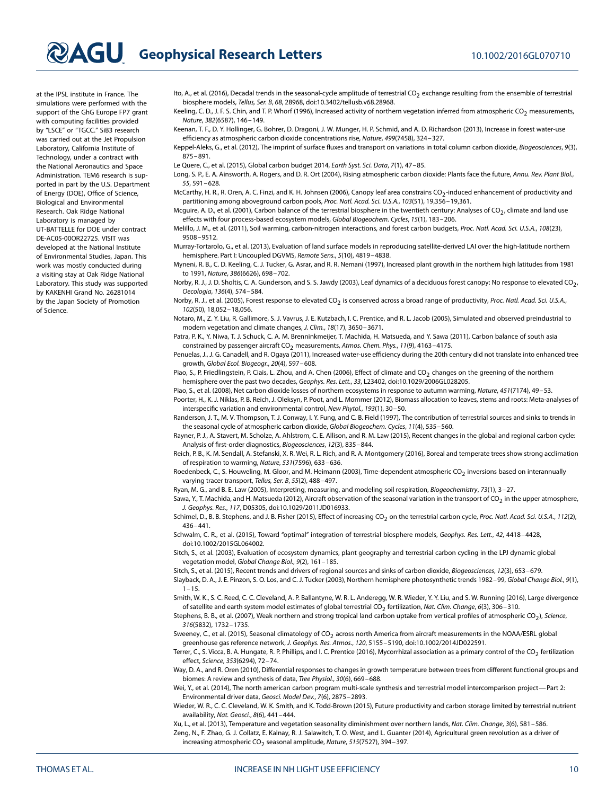at the IPSL institute in France. The simulations were performed with the support of the GhG Europe FP7 grant with computing facilities provided by "LSCE" or "TGCC." SiB3 research was carried out at the Jet Propulsion Laboratory, California Institute of Technology, under a contract with the National Aeronautics and Space Administration. TEM6 research is supported in part by the U.S. Department of Energy (DOE), Office of Science, Biological and Environmental Research. Oak Ridge National Laboratory is managed by UT-BATTELLE for DOE under contract DE-AC05-00OR22725. VISIT was developed at the National Institute of Environmental Studies, Japan. This work was mostly conducted during a visiting stay at Oak Ridge National Laboratory. This study was supported by KAKENHI Grand No. 26281014 by the Japan Society of Promotion of Science.

<span id="page-9-14"></span>Ito, A., et al. (2016), Decadal trends in the seasonal-cycle amplitude of terrestrial CO<sub>2</sub> exchange resulting from the ensemble of terrestrial biosphere models, Tellus, Ser. B, 68, 28968, doi[:10.3402/tellusb.v68.28968.](http://dx.doi.org/10.3402/tellusb.v68.28968)

<span id="page-9-5"></span>Keeling, C. D., J. F. S. Chin, and T. P. Whorf (1996), Increased activity of northern vegetation inferred from atmospheric CO<sub>2</sub> measurements, Nature, 382(6587), 146–149.

<span id="page-9-1"></span>Keenan, T. F., D. Y. Hollinger, G. Bohrer, D. Dragoni, J. W. Munger, H. P. Schmid, and A. D. Richardson (2013), Increase in forest water-use efficiency as atmospheric carbon dioxide concentrations rise, Nature, 499(7458), 324–327.

<span id="page-9-21"></span><span id="page-9-2"></span>Keppel-Aleks, G., et al. (2012), The imprint of surface fluxes and transport on variations in total column carbon dioxide, Biogeosciences, 9(3), 875–891.

<span id="page-9-17"></span>Le Quere, C., et al. (2015), Global carbon budget 2014, Earth Syst. Sci. Data, 7(1), 47–85.

Long, S. P., E. A. Ainsworth, A. Rogers, and D. R. Ort (2004), Rising atmospheric carbon dioxide: Plants face the future, Annu. Rev. Plant Biol., 55, 591–628.

<span id="page-9-16"></span>McCarthy, H. R., R. Oren, A. C. Finzi, and K. H. Johnsen (2006), Canopy leaf area constrains CO<sub>2</sub>-induced enhancement of productivity and partitioning among aboveground carbon pools, Proc. Natl. Acad. Sci. U.S.A., 103(51), 19,356–19,361.

<span id="page-9-13"></span>Mcguire, A. D., et al. (2001), Carbon balance of the terrestrial biosphere in the twentieth century: Analyses of CO<sub>2</sub>, climate and land use effects with four process-based ecosystem models, Global Biogeochem. Cycles, 15(1), 183–206.

<span id="page-9-37"></span>Melillo, J. M., et al. (2011), Soil warming, carbon-nitrogen interactions, and forest carbon budgets, Proc. Natl. Acad. Sci. U.S.A., 108(23), 9508–9512.

<span id="page-9-7"></span>Murray-Tortarolo, G., et al. (2013), Evaluation of land surface models in reproducing satellite-derived LAI over the high-latitude northern hemisphere. Part I: Uncoupled DGVMS, Remote Sens., 5(10), 4819–4838.

<span id="page-9-10"></span>Myneni, R. B., C. D. Keeling, C. J. Tucker, G. Asrar, and R. R. Nemani (1997), Increased plant growth in the northern high latitudes from 1981 to 1991, Nature, 386(6626), 698–702.

<span id="page-9-15"></span>Norby, R. J., J. D. Sholtis, C. A. Gunderson, and S. S. Jawdy (2003), Leaf dynamics of a deciduous forest canopy: No response to elevated  $CO_2$ , Oecologia, 136(4), 574–584.

<span id="page-9-18"></span>Norby, R. J., et al. (2005), Forest response to elevated CO<sub>2</sub> is conserved across a broad range of productivity, Proc. Natl. Acad. Sci. U.S.A., 102(50), 18,052–18,056.

<span id="page-9-11"></span>Notaro, M., Z. Y. Liu, R. Gallimore, S. J. Vavrus, J. E. Kutzbach, I. C. Prentice, and R. L. Jacob (2005), Simulated and observed preindustrial to modern vegetation and climate changes, J. Clim., 18(17), 3650–3671.

<span id="page-9-25"></span>Patra, P. K., Y. Niwa, T. J. Schuck, C. A. M. Brenninkmeijer, T. Machida, H. Matsueda, and Y. Sawa (2011), Carbon balance of south asia constrained by passenger aircraft CO<sub>2</sub> measurements, Atmos. Chem. Phys., 11(9), 4163-4175.

<span id="page-9-0"></span>Penuelas, J., J. G. Canadell, and R. Ogaya (2011), Increased water-use efficiency during the 20th century did not translate into enhanced tree growth, Global Ecol. Biogeogr., 20(4), 597–608.

<span id="page-9-27"></span>Piao, S., P. Friedlingstein, P. Ciais, L. Zhou, and A. Chen (2006), Effect of climate and CO<sub>2</sub> changes on the greening of the northern hemisphere over the past two decades, Geophys. Res. Lett., 33, L23402, doi[:10.1029/2006GL028205.](http://dx.doi.org/10.1029/2006GL028205)

<span id="page-9-36"></span><span id="page-9-9"></span>Piao, S., et al. (2008), Net carbon dioxide losses of northern ecosystems in response to autumn warming, Nature, 451(7174), 49-53.

Poorter, H., K. J. Niklas, P. B. Reich, J. Oleksyn, P. Poot, and L. Mommer (2012), Biomass allocation to leaves, stems and roots: Meta-analyses of interspecific variation and environmental control, New Phytol., 193(1), 30–50.

<span id="page-9-4"></span>Randerson, J. T., M. V. Thompson, T. J. Conway, I. Y. Fung, and C. B. Field (1997), The contribution of terrestrial sources and sinks to trends in the seasonal cycle of atmospheric carbon dioxide, Global Biogeochem. Cycles, 11(4), 535–560.

<span id="page-9-6"></span>Rayner, P. J., A. Stavert, M. Scholze, A. Ahlstrom, C. E. Allison, and R. M. Law (2015), Recent changes in the global and regional carbon cycle: Analysis of first-order diagnostics, Biogeosciences, 12(3), 835–844.

<span id="page-9-34"></span>Reich, P. B., K. M. Sendall, A. Stefanski, X. R. Wei, R. L. Rich, and R. A. Montgomery (2016), Boreal and temperate trees show strong acclimation of respiration to warming, Nature, 531(7596), 633–636.

<span id="page-9-26"></span>Roedenbeck, C., S. Houweling, M. Gloor, and M. Heimann (2003), Time-dependent atmospheric CO<sub>2</sub> inversions based on interannually varying tracer transport, Tellus, Ser. B, 55(2), 488–497.

<span id="page-9-32"></span><span id="page-9-22"></span>Ryan, M. G., and B. E. Law (2005), Interpreting, measuring, and modeling soil respiration, Biogeochemistry, 73(1), 3-27.

Sawa, Y., T. Machida, and H. Matsueda (2012), Aircraft observation of the seasonal variation in the transport of  $CO<sub>2</sub>$  in the upper atmosphere, J. Geophys. Res., 117, D05305, do[i:10.1029/2011JD016933.](http://dx.doi.org/10.1029/2011JD016933)

<span id="page-9-3"></span>Schimel, D., B. B. Stephens, and J. B. Fisher (2015), Effect of increasing CO<sub>2</sub> on the terrestrial carbon cycle, Proc. Natl. Acad. Sci. U.S.A., 112(2), 436–441.

<span id="page-9-28"></span>Schwalm, C. R., et al. (2015), Toward "optimal" integration of terrestrial biosphere models, Geophys. Res. Lett., 42, 4418–4428, doi[:10.1002/2015GL064002.](http://dx.doi.org/10.1002/2015GL064002)

<span id="page-9-35"></span>Sitch, S., et al. (2003), Evaluation of ecosystem dynamics, plant geography and terrestrial carbon cycling in the LPJ dynamic global vegetation model, Global Change Biol., 9(2), 161–185.

<span id="page-9-23"></span><span id="page-9-8"></span>Sitch, S., et al. (2015), Recent trends and drivers of regional sources and sinks of carbon dioxide, Biogeosciences, 12(3), 653–679.

Slayback, D. A., J. E. Pinzon, S. O. Los, and C. J. Tucker (2003), Northern hemisphere photosynthetic trends 1982–99, Global Change Biol., 9(1),  $1 - 15$ 

<span id="page-9-29"></span>Smith, W. K., S. C. Reed, C. C. Cleveland, A. P. Ballantyne, W. R. L. Anderegg, W. R. Wieder, Y. Y. Liu, and S. W. Running (2016), Large divergence of satellite and earth system model estimates of global terrestrial CO<sub>2</sub> fertilization, Nat. Clim. Change, 6(3), 306-310.

<span id="page-9-24"></span>Stephens, B. B., et al. (2007), Weak northern and strong tropical land carbon uptake from vertical profiles of atmospheric CO<sub>2</sub>), Science, 316(5832), 1732–1735.

<span id="page-9-20"></span>Sweeney, C., et al. (2015), Seasonal climatology of CO<sub>2</sub> across north America from aircraft measurements in the NOAA/ESRL global greenhouse gas reference network, J. Geophys. Res. Atmos., 120, 5155–5190, doi[:10.1002/2014JD022591.](http://dx.doi.org/10.1002/2014JD022591)

<span id="page-9-30"></span>Terrer, C., S. Vicca, B. A. Hungate, R. P. Phillips, and I. C. Prentice (2016), Mycorrhizal association as a primary control of the CO<sub>2</sub> fertilization effect, Science, 353(6294), 72–74.

<span id="page-9-33"></span>Way, D. A., and R. Oren (2010), Differential responses to changes in growth temperature between trees from different functional groups and biomes: A review and synthesis of data, Tree Physiol., 30(6), 669–688.

<span id="page-9-19"></span>Wei, Y., et al. (2014), The north american carbon program multi-scale synthesis and terrestrial model intercomparison project—Part 2: Environmental driver data, Geosci. Model Dev., 7(6), 2875–2893.

<span id="page-9-31"></span>Wieder, W. R., C. C. Cleveland, W. K. Smith, and K. Todd-Brown (2015), Future productivity and carbon storage limited by terrestrial nutrient availability, Nat. Geosci., 8(6), 441–444.

<span id="page-9-38"></span><span id="page-9-12"></span>Xu, L., et al. (2013), Temperature and vegetation seasonality diminishment over northern lands, Nat. Clim. Change, 3(6), 581–586. Zeng, N., F. Zhao, G. J. Collatz, E. Kalnay, R. J. Salawitch, T. O. West, and L. Guanter (2014), Agricultural green revolution as a driver of increasing atmospheric  $CO<sub>2</sub>$  seasonal amplitude, Nature, 515(7527), 394-397.